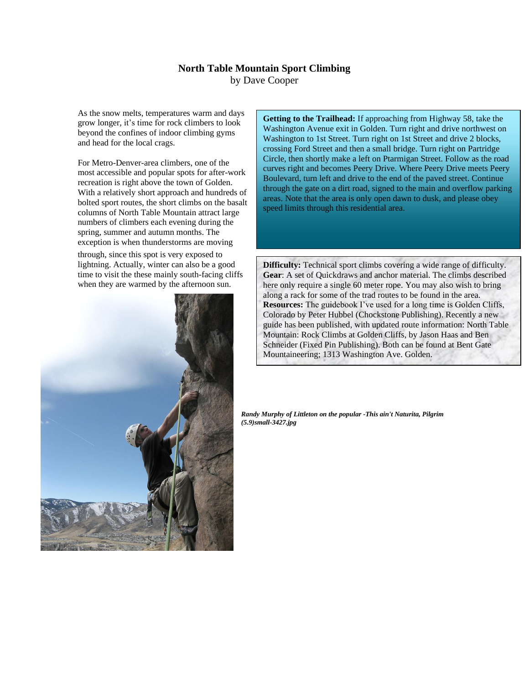## **North Table Mountain Sport Climbing** by Dave Cooper

As the snow melts, temperatures warm and days grow longer, it's time for rock climbers to look beyond the confines of indoor climbing gyms and head for the local crags.

For Metro-Denver-area climbers, one of the most accessible and popular spots for after-work recreation is right above the town of Golden. With a relatively short approach and hundreds of bolted sport routes, the short climbs on the basalt columns of North Table Mountain attract large numbers of climbers each evening during the spring, summer and autumn months. The exception is when thunderstorms are moving

through, since this spot is very exposed to lightning. Actually, winter can also be a good time to visit the these mainly south-facing cliffs when they are warmed by the afternoon sun.



**Getting to the Trailhead:** If approaching from Highway 58, take the Washington Avenue exit in Golden. Turn right and drive northwest on Washington to 1st Street. Turn right on 1st Street and drive 2 blocks, crossing Ford Street and then a small bridge. Turn right on Partridge Circle, then shortly make a left on Ptarmigan Street. Follow as the road curves right and becomes Peery Drive. Where Peery Drive meets Peery Boulevard, turn left and drive to the end of the paved street. Continue through the gate on a dirt road, signed to the main and overflow parking areas. Note that the area is only open dawn to dusk, and please obey speed limits through this residential area.

**Difficulty:** Technical sport climbs covering a wide range of difficulty. **Gear**: A set of Quickdraws and anchor material. The climbs described here only require a single 60 meter rope. You may also wish to bring along a rack for some of the trad routes to be found in the area. **Resources:** The guidebook I've used for a long time is Golden Cliffs, Colorado by Peter Hubbel (Chockstone Publishing). Recently a new guide has been published, with updated route information: North Table Mountain: Rock Climbs at Golden Cliffs, by Jason Haas and Ben Schneider (Fixed Pin Publishing). Both can be found at Bent Gate Mountaineering; 1313 Washington Ave. Golden.

*Randy Murphy of Littleton on the popular -This ain't Naturita, Pilgrim (5.9)small-3427.jpg*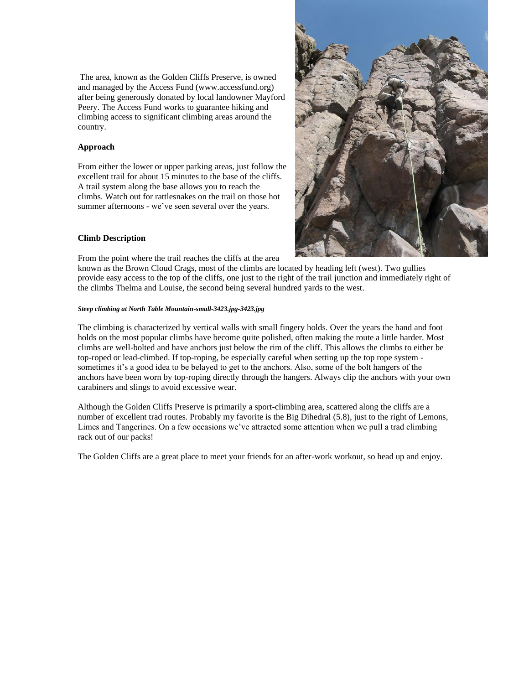The area, known as the Golden Cliffs Preserve, is owned and managed by the Access Fund (www.accessfund.org) after being generously donated by local landowner Mayford Peery. The Access Fund works to guarantee hiking and climbing access to significant climbing areas around the country.

## **Approach**

From either the lower or upper parking areas, just follow the excellent trail for about 15 minutes to the base of the cliffs. A trail system along the base allows you to reach the climbs. Watch out for rattlesnakes on the trail on those hot summer afternoons - we've seen several over the years.

## **Climb Description**

From the point where the trail reaches the cliffs at the area

known as the Brown Cloud Crags, most of the climbs are located by heading left (west). Two gullies provide easy access to the top of the cliffs, one just to the right of the trail junction and immediately right of the climbs Thelma and Louise, the second being several hundred yards to the west.

## *Steep climbing at North Table Mountain-small-3423.jpg-3423.jpg*

The climbing is characterized by vertical walls with small fingery holds. Over the years the hand and foot holds on the most popular climbs have become quite polished, often making the route a little harder. Most climbs are well-bolted and have anchors just below the rim of the cliff. This allows the climbs to either be top-roped or lead-climbed. If top-roping, be especially careful when setting up the top rope system sometimes it's a good idea to be belayed to get to the anchors. Also, some of the bolt hangers of the anchors have been worn by top-roping directly through the hangers. Always clip the anchors with your own carabiners and slings to avoid excessive wear.

Although the Golden Cliffs Preserve is primarily a sport-climbing area, scattered along the cliffs are a number of excellent trad routes. Probably my favorite is the Big Dihedral (5.8), just to the right of Lemons, Limes and Tangerines. On a few occasions we've attracted some attention when we pull a trad climbing rack out of our packs!

The Golden Cliffs are a great place to meet your friends for an after-work workout, so head up and enjoy.